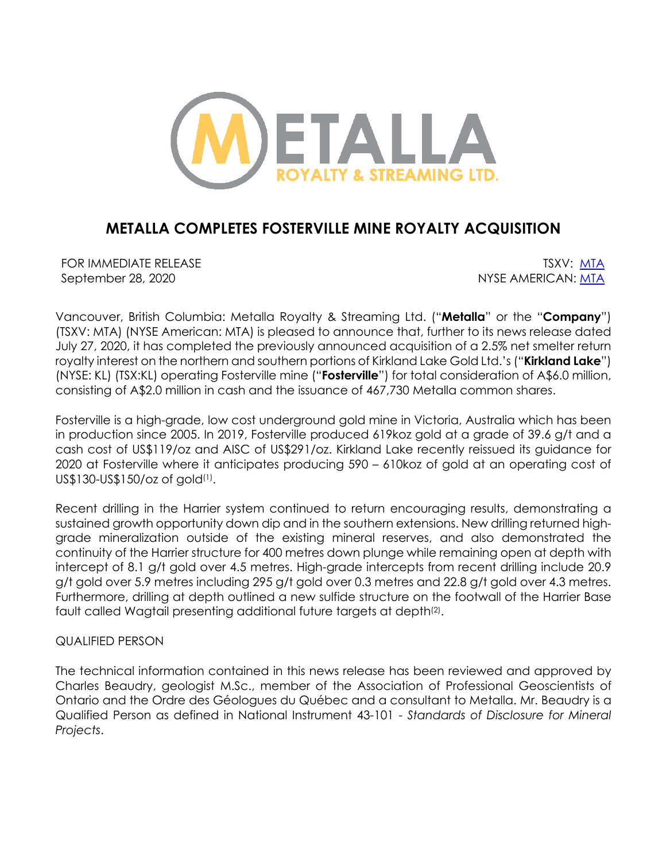

# **METALLA COMPLETES FOSTERVILLE MINE ROYALTY ACQUISITION**

FOR IMMEDIATE RELEASE THE SECOND SERVICE SERVICE SERVICE SERVICE SERVICE SERVICE SERVICE SERVICE SERVICE SERVICE SERVICE SERVICE SERVICE SERVICE SERVICE SERVICE SERVICE SERVICE SERVICE SERVICE SERVICE SERVICE SERVICE SERVI September 28, 2020 NYSE AMERICAN: MTA

Vancouver, British Columbia: Metalla Royalty & Streaming Ltd. ("**Metalla**" or the "**Company**") (TSXV: MTA) (NYSE American: MTA) is pleased to announce that, further to its news release dated July 27, 2020, it has completed the previously announced acquisition of a 2.5% net smelter return royalty interest on the northern and southern portions of Kirkland Lake Gold Ltd.'s ("**Kirkland Lake**") (NYSE: KL) (TSX:KL) operating Fosterville mine ("**Fosterville**") for total consideration of A\$6.0 million, consisting of A\$2.0 million in cash and the issuance of 467,730 Metalla common shares.

Fosterville is a high-grade, low cost underground gold mine in Victoria, Australia which has been in production since 2005. In 2019, Fosterville produced 619koz gold at a grade of 39.6 g/t and a cash cost of US\$119/oz and AISC of US\$291/oz. Kirkland Lake recently reissued its guidance for 2020 at Fosterville where it anticipates producing 590 – 610koz of gold at an operating cost of US\$130-US\$150/oz of gold(1).

Recent drilling in the Harrier system continued to return encouraging results, demonstrating a sustained growth opportunity down dip and in the southern extensions. New drilling returned highgrade mineralization outside of the existing mineral reserves, and also demonstrated the continuity of the Harrier structure for 400 metres down plunge while remaining open at depth with intercept of 8.1 g/t gold over 4.5 metres. High-grade intercepts from recent drilling include 20.9 g/t gold over 5.9 metres including 295 g/t gold over 0.3 metres and 22.8 g/t gold over 4.3 metres. Furthermore, drilling at depth outlined a new sulfide structure on the footwall of the Harrier Base fault called Wagtail presenting additional future targets at depth<sup>(2)</sup>.

## QUALIFIED PERSON

The technical information contained in this news release has been reviewed and approved by Charles Beaudry, geologist M.Sc., member of the Association of Professional Geoscientists of Ontario and the Ordre des Géologues du Québec and a consultant to Metalla. Mr. Beaudry is a Qualified Person as defined in National Instrument 43-101 - *Standards of Disclosure for Mineral Projects*.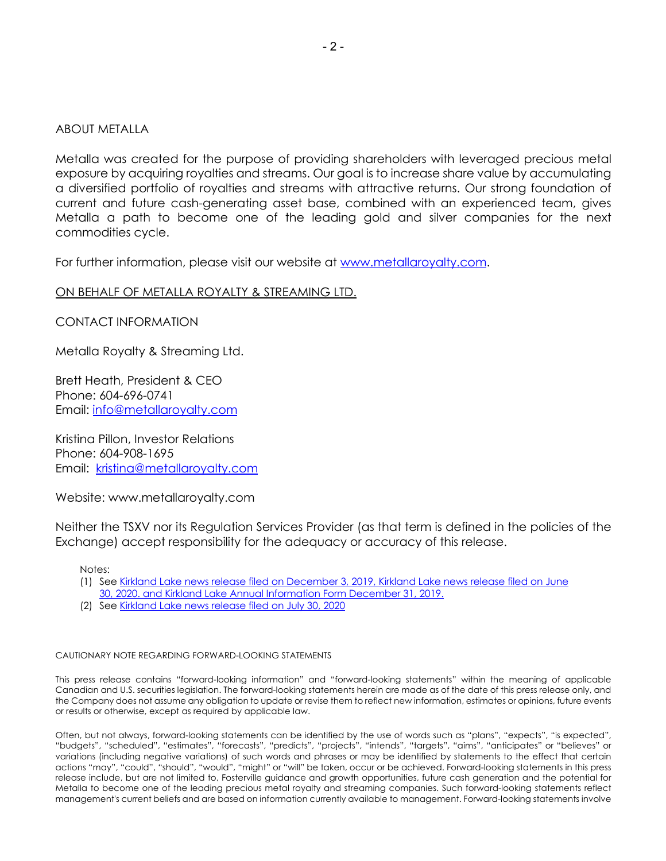### ABOUT METALLA

Metalla was created for the purpose of providing shareholders with leveraged precious metal exposure by acquiring royalties and streams. Our goal is to increase share value by accumulating a diversified portfolio of royalties and streams with attractive returns. Our strong foundation of current and future cash-generating asset base, combined with an experienced team, gives Metalla a path to become one of the leading gold and silver companies for the next commodities cycle.

For further information, please visit our website at www.metallaroyalty.com.

### ON BEHALF OF METALLA ROYALTY & STREAMING LTD.

CONTACT INFORMATION

Metalla Royalty & Streaming Ltd.

Brett Heath, President & CEO Phone: 604-696-0741 Email: info@metallaroyalty.com

Kristina Pillon, Investor Relations Phone: 604-908-1695 Email: kristina@metallaroyalty.com

Website: www.metallaroyalty.com

Neither the TSXV nor its Regulation Services Provider (as that term is defined in the policies of the Exchange) accept responsibility for the adequacy or accuracy of this release.

Notes:

- (1) See Kirkland Lake news release filed on December 3, 2019, Kirkland Lake news release filed on June
- 30, 2020. and Kirkland Lake Annual Information Form December 31, 2019.
- (2) See Kirkland Lake news release filed on July 30, 2020

#### CAUTIONARY NOTE REGARDING FORWARD-LOOKING STATEMENTS

This press release contains "forward-looking information" and "forward-looking statements" within the meaning of applicable Canadian and U.S. securities legislation. The forward-looking statements herein are made as of the date of this press release only, and the Company does not assume any obligation to update or revise them to reflect new information, estimates or opinions, future events or results or otherwise, except as required by applicable law.

Often, but not always, forward-looking statements can be identified by the use of words such as "plans", "expects", "is expected", "budgets", "scheduled", "estimates", "forecasts", "predicts", "projects", "intends", "targets", "aims", "anticipates" or "believes" or variations (including negative variations) of such words and phrases or may be identified by statements to the effect that certain actions "may", "could", "should", "would", "might" or "will" be taken, occur or be achieved. Forward-looking statements in this press release include, but are not limited to, Fosterville guidance and growth opportunities, future cash generation and the potential for Metalla to become one of the leading precious metal royalty and streaming companies. Such forward-looking statements reflect management's current beliefs and are based on information currently available to management. Forward-looking statements involve